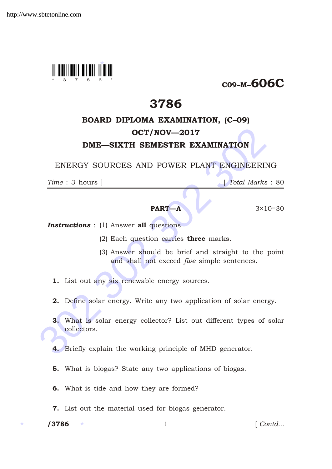

C09–M–606C

# 3786

## BOARD DIPLOMA EXAMINATION, (C–09)

## OCT/NOV—2017

## DME—SIXTH SEMESTER EXAMINATION

ENERGY SOURCES AND POWER PLANT ENGINEERING

*Time* : 3 hours ] [ *Total Marks* : 80

**PART—A**  $3 \times 10 = 30$ 

- **Instructions** : (1) Answer all questions.
	- (2) Each question carries **three** marks.
	- (3) Answer should be brief and straight to the point and shall not exceed *five* simple sentences.
	- 1. List out any six renewable energy sources.
	- 2. Define solar energy. Write any two application of solar energy.
- **OCT/NOV—2017**<br>
DME—SIXTH SEMESTER EXAMINATION<br>
ENERGY SOURCES AND POWER PLANT ENGINEERINC<br>
Time : 3 hours ]<br>  $\begin{array}{|l|}\n\hline\n\end{array}$  fotal Marks :<br>
PART—A<br>
3×10=<br>
Instructions : (1) Answer all questions.<br>
(2) Each question 3. What is solar energy collector? List out different types of solar collectors.
	- 4. Briefly explain the working principle of MHD generator.
	- 5. What is biogas? State any two applications of biogas.
	- 6. What is tide and how they are formed?
	- 7. List out the material used for biogas generator.

/3786

1 *Contd...*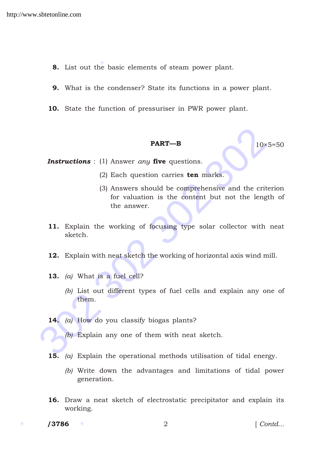- 8. List out the basic elements of steam power plant.
- 9. What is the condenser? State its functions in a power plant.
- 10. State the function of pressuriser in PWR power plant.

### **PART—B** 10×5=50

*Instructions* : (1) Answer *any* five questions.

- (2) Each question carries ten marks.
- **PART—B**<br> **IO** 10x5=<br> **Instructions** : (1) Answer *any* **five** questions.<br>
(2) Each question carries **ten** marks.<br>
(3) Answers should be comprehensive and the criter<br>
for valuation is the content but not the length<br>
the a (3) Answers should be comprehensive and the criterion for valuation is the content but not the length of the answer.
	- 11. Explain the working of focusing type solar collector with neat sketch.
	- 12. Explain with neat sketch the working of horizontal axis wind mill.
	- 13. *(a)* What is a fuel cell?
		- *(b)* List out different types of fuel cells and explain any one of them.
	- 14. *(a)* How do you classify biogas plants?
		- *(b)* Explain any one of them with neat sketch.
	- 15. *(a)* Explain the operational methods utilisation of tidal energy.
		- *(b)* Write down the advantages and limitations of tidal power generation.
	- 16. Draw a neat sketch of electrostatic precipitator and explain its working.
	- /3786

/3786 2 [ *Contd...*